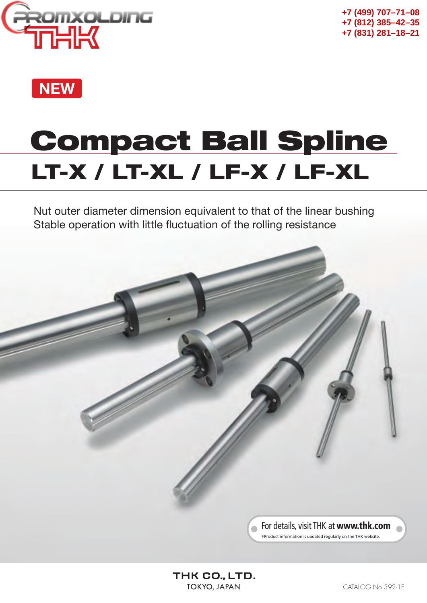



# **LT-X / LT-XL / LF-X / LF-XL Compact Ball Spline**

Nut outer diameter dimension equivalent to that of the linear bushing Stable operation with little fluctuation of the rolling resistance

> For details, visit THK at **www.thk.com** \*Product information is updated regularly on the THK website.

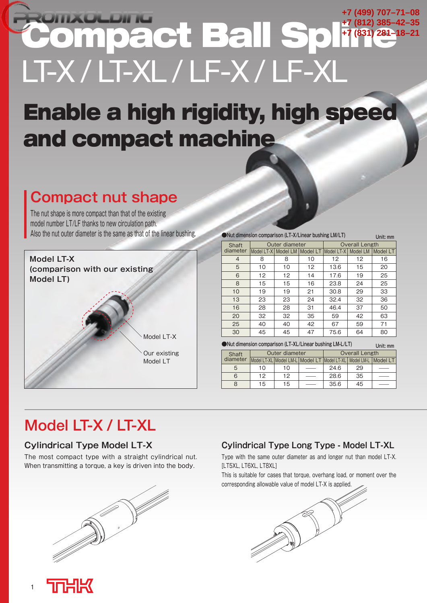## **Mpact Ball S** LT-X / LT-XL / LF-X / LF-XI **+7 (499) 707–71–08 +7 (812) 385–42–35 +7 (831) 281–18–21**

# **Enable a high rigidity, high speed and compact machine**

## **Compact nut shape**

The nut shape is more compact than that of the existing model number LT/LF thanks to new circulation path. Also the nut outer diameter is the same as that of the linear bushing.



| • Nut dimension comparison (LT-X/Linear bushing LM/LT)<br>Unit: mm |                                    |                |    |                                               |          |          |
|--------------------------------------------------------------------|------------------------------------|----------------|----|-----------------------------------------------|----------|----------|
| Shaft                                                              |                                    | Outer diameter |    | <b>Overall Length</b>                         |          |          |
| diameter                                                           |                                    |                |    | Model LT-X   Model LM   Model LT   Model LT-X | Model LM | Model LT |
| 4                                                                  | 8                                  | 8              | 10 | 12                                            | 12       | 16       |
| 5                                                                  | 10                                 | 10             | 12 | 13.6                                          | 15       | 20       |
| 6                                                                  | 12                                 | 12             | 14 | 17.6                                          | 19       | 25       |
| 8                                                                  | 15                                 | 15             | 16 | 23.8                                          | 24       | 25       |
| 10                                                                 | 19                                 | 19             | 21 | 30.8                                          | 29       | 33       |
| 13                                                                 | 23                                 | 23             | 24 | 32.4                                          | 32       | 36       |
| 16                                                                 | 28                                 | 28             | 31 | 46.4                                          | 37       | 50       |
| 20                                                                 | 32                                 | 32             | 35 | 59                                            | 42       | 63       |
| 25                                                                 | 40                                 | 40             | 42 | 67                                            | 59       | 71       |
| 30                                                                 | 47<br>75.6<br>80<br>45<br>45<br>64 |                |    |                                               |          |          |
|                                                                    |                                    |                |    |                                               |          |          |

| • Nut dimension comparison (LT-XL/Linear bushing LM-L/LT) | Unit: mm |
|-----------------------------------------------------------|----------|
|-----------------------------------------------------------|----------|

| Shaft    |    | Outer diameter | <b>Overall Length</b>                       |                     |  |  |  |
|----------|----|----------------|---------------------------------------------|---------------------|--|--|--|
| diameter |    |                | Model LT-XL Model LM-L Model LT Model LT-XL | Model LM-L Model LT |  |  |  |
| 5        | 10 | 10             | 24.6                                        | 29                  |  |  |  |
| 6        | 12 | 12             | 28.6                                        | 35                  |  |  |  |
| 8        | 15 | 15             | 35.6                                        | 45                  |  |  |  |

## **Model LT-X / LT-XL**

### **Cylindrical Type Model LT-X**

The most compact type with a straight cylindrical nut. When transmitting a torque, a key is driven into the body.



### **Cylindrical Type Long Type - Model LT-XL**

Type with the same outer diameter as and longer nut than model LT-X. [LT5XL, LT6XL, LT8XL]

This is suitable for cases that torque, overhang load, or moment over the corresponding allowable value of model LT-X is applied.



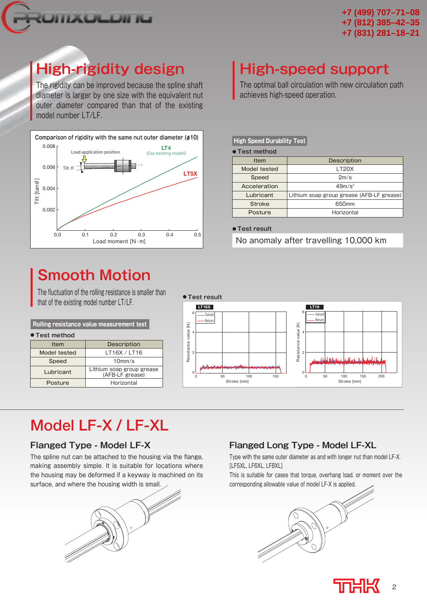

## **High-rigidity design**

The rigidity can be improved because the spline shaft diameter is larger by one size with the equivalent nut outer diameter compared than that of the existing model number LT/LF.



## **Smooth Motion**

The fluctuation of the rolling resistance is smaller than that of the existing model number LT/LF.

### **● Test method** Item Description **Rolling resistance value measurement test**

| Model tested | LT16X / LT16                                 |
|--------------|----------------------------------------------|
| Speed        | 10 <sub>mm/s</sub>                           |
| Lubricant    | Lithium soap group grease<br>(AFB-LF grease) |
| Posture      | Horizontal                                   |



## **Model LF-X / LF-XL**

### **Flanged Type - Model LF-X**

The spline nut can be attached to the housing via the flange, making assembly simple. It is suitable for locations where the housing may be deformed if a keyway is machined on its surface, and where the housing width is small.



### **Flanged Long Type - Model LF-XL**

Type with the same outer diameter as and with longer nut than model LF-X. [LF5XL, LF6XL, LF8XL]

This is suitable for cases that torque, overhang load, or moment over the corresponding allowable value of model LF-X is applied.





## **High-speed support**

The optimal ball circulation with new circulation path achieves high-speed operation.

### **High Speed Durability Test**

**● Test method**

| 1696 111661100 |                                           |
|----------------|-------------------------------------------|
| Item           | Description                               |
| Model tested   | LT <sub>20</sub> X                        |
| Speed          | 2m/s                                      |
| Acceleration   | $49m/s^2$                                 |
| Lubricant      | Lithium soap group grease (AFB-LF grease) |
| <b>Stroke</b>  | 650 <sub>mm</sub>                         |
| Posture        | Horizontal                                |

**● Test result**

No anomaly after travelling 10,000 km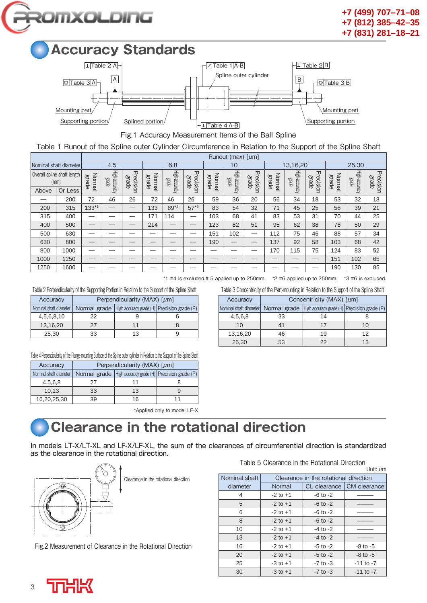



Fig.1 Accuracy Measurement Items of the Ball Spline

Table 1 Runout of the Spline outer Cylinder Circumference in Relation to the Support of the Spline Shaft

|       |                                     |                        |                        |                           |                        |                               |                           |                        | Runout (max) $\lceil \mu m \rceil$ |                           |                        |                               |                           |                        |                        |                           |
|-------|-------------------------------------|------------------------|------------------------|---------------------------|------------------------|-------------------------------|---------------------------|------------------------|------------------------------------|---------------------------|------------------------|-------------------------------|---------------------------|------------------------|------------------------|---------------------------|
|       | Nominal shaft diameter              |                        | 4,5                    |                           |                        | 6,8                           |                           |                        | 10                                 |                           |                        | 13,16,20                      |                           |                        | 25,30                  |                           |
|       | Overall spline shaft length<br>(mm) | Normal<br><b>grade</b> | High-accuracy<br>grade | Precision<br><b>grade</b> | Normal<br><b>grade</b> | High-accuracy<br><b>grade</b> | Precision<br><b>grade</b> | Normal<br><b>grade</b> | High-accuracy<br>grade             | Precision<br><b>grade</b> | Normal<br><b>grade</b> | High-accuracy<br><b>grade</b> | Precision<br><b>grade</b> | Normal<br><b>grade</b> | High-accuracy<br>grade | Precision<br><b>Brade</b> |
| Above | Or Less                             |                        |                        |                           |                        |                               |                           |                        |                                    |                           |                        |                               |                           |                        |                        |                           |
|       | 200                                 | 72                     | 46                     | 26                        | 72                     | 46                            | 26                        | 59                     | 36                                 | 20                        | 56                     | 34                            | 18                        | 53                     | 32                     | 18                        |
| 200   | 315                                 | $133*1$                |                        | —                         | 133                    | 89*2                          | $57*3$                    | 83                     | 54                                 | 32                        | 71                     | 45                            | 25                        | 58                     | 39                     | 21                        |
| 315   | 400                                 |                        |                        |                           | 171                    | 114                           | —                         | 103                    | 68                                 | 41                        | 83                     | 53                            | 31                        | 70                     | 44                     | 25                        |
| 400   | 500                                 |                        |                        |                           | 214                    |                               | —                         | 123                    | 82                                 | 51                        | 95                     | 62                            | 38                        | 78                     | 50                     | 29                        |
| 500   | 630                                 |                        |                        |                           |                        |                               |                           | 151                    | 102                                |                           | 112                    | 75                            | 46                        | 88                     | 57                     | 34                        |
| 630   | 800                                 |                        |                        |                           |                        |                               | —                         | 190                    | –                                  |                           | 137                    | 92                            | 58                        | 103                    | 68                     | 42                        |
| 800   | 1000                                |                        |                        |                           |                        |                               |                           |                        |                                    |                           | 170                    | 115                           | 75                        | 124                    | 83                     | 52                        |
| 1000  | 1250                                |                        |                        |                           |                        |                               |                           |                        |                                    |                           |                        |                               | –                         | 151                    | 102                    | 65                        |
| 1250  | 1600                                |                        |                        |                           |                        |                               |                           |                        |                                    |                           |                        |                               | __                        | 190                    | 130                    | 85                        |

\*1 #4 is excluded.# 5 applied up to 250mm. \*2 #6 applied up to 250mm. \*3 #6 is excluded.

Table 2 Perpendicularity of the Supporting Portion in Relation to the Support of the Spline Shaft Table 3 Concentricity of the Part-mounting in Relation to the Support of the Spline Shaft

| Accuracy   | Perpendicularity (MAX) $\lceil \mu m \rceil$ |  |                                                                                       |  | Accuracy                                                                      |    | Concentricity (MAX) $\lceil \mu m \rceil$ |                |
|------------|----------------------------------------------|--|---------------------------------------------------------------------------------------|--|-------------------------------------------------------------------------------|----|-------------------------------------------|----------------|
|            |                                              |  | Nominal shaft diameter   Normal grade   High accuracy grade (H)   Precision grade (P) |  | Nominal shaft diameter   Normal grade   High accuracy grade (H)   Precision g |    |                                           |                |
| 4,5,6,8,10 |                                              |  |                                                                                       |  | 4,5,6,8                                                                       | 33 |                                           |                |
| 13.16.20   |                                              |  |                                                                                       |  | 10                                                                            | 41 |                                           | 1 <sup>C</sup> |
| 25.30      | 33                                           |  |                                                                                       |  | 13.16.20                                                                      | 46 |                                           | 12             |

|  |  |  | able 1 Demandia larity of the Flange meunting Curtage of the Coline suiter sulinder in Delation to the Cument of the Coline Chaft |  |
|--|--|--|-----------------------------------------------------------------------------------------------------------------------------------|--|

| TONIC 4 LIGIDOLINIQUE AL INCLUDITION IN RESULTANT IN SULLAGE OF THE ONLINE AND LONG HITTIGIONAL TO THE OMMAN FOLLINE ONLINE OF ALCOH |                                              |                                                              |    |  |  |  |
|--------------------------------------------------------------------------------------------------------------------------------------|----------------------------------------------|--------------------------------------------------------------|----|--|--|--|
| Accuracy                                                                                                                             | Perpendicularity (MAX) $\lceil \mu m \rceil$ |                                                              |    |  |  |  |
| Nominal shaft diameter                                                                                                               |                                              | Normal grade   High accuracy grade (H)   Precision grade (P) |    |  |  |  |
| 4,5,6,8                                                                                                                              | 27                                           | 11                                                           |    |  |  |  |
| 10.13                                                                                                                                | 33                                           | 13                                                           |    |  |  |  |
| 16,20,25,30                                                                                                                          | 39                                           | 16                                                           | 11 |  |  |  |

\*Applied only to model LF-X

## **Clearance in the rotational direction**

In models LT-X/LT-XL and LF-X/LF-XL, the sum of the clearances of circumferential direction is standardized as the clearance in the rotational direction.



Clearance in the rotational direction

Fig.2 Measurement of Clearance in the Rotational Direction

Table 5 Clearance in the Rotational Direction

|               |              |                                       | Unit: µm      |  |  |  |  |
|---------------|--------------|---------------------------------------|---------------|--|--|--|--|
| Nominal shaft |              | Clearance in the rotational direction |               |  |  |  |  |
| diameter      | Normal       | CL clearance                          | CM clearance  |  |  |  |  |
| 4             | $-2$ to $+1$ | $-6$ to $-2$                          |               |  |  |  |  |
| 5             | $-2$ to $+1$ | $-6$ to $-2$                          |               |  |  |  |  |
| 6             | $-2$ to $+1$ | $-6$ to $-2$                          |               |  |  |  |  |
| 8             | $-2$ to $+1$ | $-6$ to $-2$                          |               |  |  |  |  |
| 10            | $-2$ to $+1$ | $-4$ to $-2$                          |               |  |  |  |  |
| 13            | $-2$ to $+1$ | $-4$ to $-2$                          |               |  |  |  |  |
| 16            | $-2$ to $+1$ | $-5$ to $-2$                          | $-8$ to $-5$  |  |  |  |  |
| 20            | $-2$ to $+1$ | $-5$ to $-2$                          | $-8$ to $-5$  |  |  |  |  |
| 25            | $-3$ to $+1$ | $-7$ to $-3$                          | $-11$ to $-7$ |  |  |  |  |
| 30            | $-3$ to $+1$ | $-7$ to $-3$                          | $-11$ to $-7$ |  |  |  |  |

| Accuracy               |    | Perpendicularity (MAX) $\lceil \mu m \rceil$                 |  |  |          |    | Concentricity (MAX) $[µm]$ |                                                                                       |
|------------------------|----|--------------------------------------------------------------|--|--|----------|----|----------------------------|---------------------------------------------------------------------------------------|
| Nominal shaft diameter |    | Normal grade   High accuracy grade (H)   Precision grade (P) |  |  |          |    |                            | Nominal shaft diameter   Normal grade   High accuracy grade (H)   Precision grade (P) |
| 4,5,6,8,10             | 22 |                                                              |  |  | 4,5,6,8  | 33 |                            |                                                                                       |
| 13,16,20               | 27 |                                                              |  |  | 10       | 41 |                            | 10                                                                                    |
| 25,30                  | 33 | 13                                                           |  |  | 13,16,20 | 46 | 19                         | 12                                                                                    |
|                        |    |                                                              |  |  | 25,30    | 53 | 22                         | 13                                                                                    |

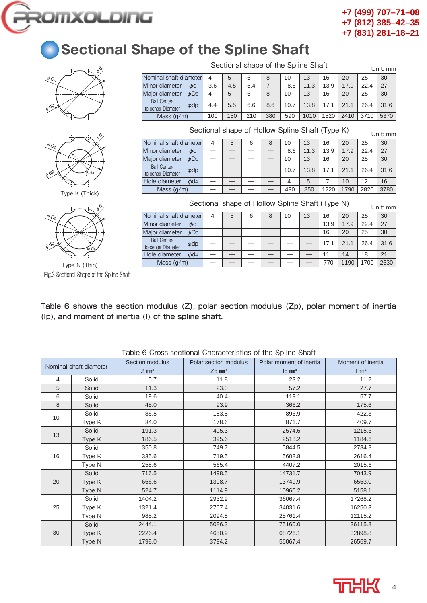

Sectional shape of the Spline Shaft Unit: mm

Sectional shape of Hollow Spline Shaft (Type K) Unit: mm

Sectional shape of Hollow Spline Shaft (Type N) Unit: mm

Nominal shaft diameter  $\begin{array}{|c|c|c|c|c|c|c|c|}\n\hline\n10 & 13 & 16 & 20 & 25 & 30 \\
\hline\n10 & 13 & 16 & 20 & 25 & 30 \\
\hline\n\end{array}$ <br>
Minor diameter  $\begin{array}{|c|c|c|c|c|}\n\hline\n\end{array}$  4.5 5.4 7 8.6 11.3 13.9 17.9 22.4 27 Minor diameter φd 3.6 4.5 5.4 7 8.6 11.3 13.9 17.9 22.4 27 Major diameter  $\phi$ Do 4 5 6 8 10 13 16 20 25 30

to-center Diameter  $\phi$ dp  $\begin{bmatrix} 4.4 & 5.5 & 6.6 & 8.6 & 10.7 & 13.8 & 17.1 & 21.1 & 26.4 & 31.6 \end{bmatrix}$ Mass (g/m) 100 150 210 380 590 1010 1520 2410 3710 5370

Nominal shaft diameter 4 5 6 8 10 13 16 20 25 30 Minor diameter  $\phi d = -$  - - 8.6 11.3 13.9 17.9 22.4 27 Major diameter φD0 ———— 10 13 16 20 25 30

 $t_{\text{total}}$  Center Diameter  $\phi$ dp  $\vert - \vert - \vert - \vert - \vert$  10.7 | 13.8 | 17.1 | 21.1 | 26.4 | 31.6 Hole diameter  $\phi$ d4  $4$  5 7 10 12 16 Mass  $(g/m)$   $|-| -| -| -| 490 | 850 | 1220 | 1790 | 2820 | 3780$ 

Nominal shaft diameter 4 | 5 | 6 | 8 | 10 | 13 | 16 | 20 | 25 | 30 Minor diameter φd —————— 13.9 17.9 22.4 27 Major diameter φD0 —————— 16 20 25 30

 $t_{\text{to-center Diameter}}$   $\phi$ dp  $\vert - \vert - \vert - \vert - \vert - \vert - \vert 17.1 \vert 21.1 \vert 26.4 \vert 31.6$ Hole diameter φd4 —————— 11 14 18 21 Mass (g/m) —————— 770 1190 1700 2630

## **Sectional Shape of the Spline Shaft**

Ball Center-

Ball Center-

Ball Center-

| PO <sub>0</sub> | b) |
|-----------------|----|
| $\phi$ dp       |    |



Type K (Thick)



Type N (Thin) Fig.3 Sectional Shape of the Spline Shaft

Table 6 shows the section modulus (Z), polar section modulus (Zp), polar moment of inertia (Ip), and moment of inertia (I) of the spline shaft.

| Nominal shaft diameter |        | Section modulus<br>$Z$ mm <sup>3</sup> | Polar section modulus<br>$Zp$ mm <sup>3</sup> | Polar moment of inertia<br>$lp$ mm <sup>4</sup> | Moment of inertia<br>$1 \text{ mm}^4$ |
|------------------------|--------|----------------------------------------|-----------------------------------------------|-------------------------------------------------|---------------------------------------|
| $\overline{4}$         | Solid  | 5.7                                    | 11.8                                          | 23.2                                            | 11.2                                  |
| 5                      | Solid  | 11.3                                   | 23.3                                          | 57.2                                            | 27.7                                  |
| 6                      | Solid  | 19.6                                   | 40.4                                          | 119.1                                           | 57.7                                  |
| 8                      | Solid  | 45.0                                   | 93.9                                          | 366.2                                           | 175.6                                 |
|                        | Solid  | 86.5                                   | 183.8                                         | 896.9                                           | 422.3                                 |
| 10                     | Type K | 84.0                                   | 178.6                                         | 871.7                                           | 409.7                                 |
|                        | Solid  | 191.3                                  | 405.3                                         | 2574.6                                          | 1215.3                                |
| 13                     | Type K | 186.5                                  | 395.6<br>2513.2                               |                                                 | 1184.6                                |
|                        | Solid  | 350.8                                  | 749.7                                         | 5844.5                                          | 2734.3                                |
| 16                     | Type K | 335.6                                  | 719.5                                         | 5608.8                                          | 2616.4                                |
|                        | Type N | 258.6                                  | 565.4                                         | 4407.2                                          | 2015.6                                |
|                        | Solid  | 716.5                                  | 1498.5                                        | 14731.7                                         | 7043.9                                |
| 20                     | Type K | 666.6                                  | 1398.7                                        | 13749.9                                         | 6553.0                                |
|                        | Type N | 524.7                                  | 1114.9                                        | 10960.2                                         | 5158.1                                |
|                        | Solid  | 1404.2                                 | 2932.9                                        | 36067.4                                         | 17268.2                               |
| 25                     | Type K | 1321.4                                 | 2767.4                                        | 34031.6                                         | 16250.3                               |
|                        | Type N | 985.2                                  | 2094.8                                        | 25761.4                                         | 12115.2                               |
|                        | Solid  | 2444.1                                 | 5086.3                                        | 75160.0                                         | 36115.8                               |
| 30                     | Type K | 2226.4                                 | 4650.9                                        | 68726.1                                         | 32898.8                               |
|                        | Type N | 1798.0                                 | 3794.2                                        | 56067.4                                         | 26569.7                               |

Table 6 Cross-sectional Characteristics of the Spline Shaft

4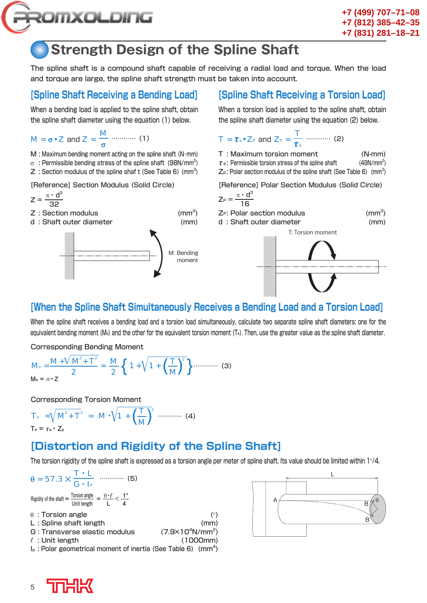

## **Strength Design of the Spline Shaft**

The spline shaft is a compound shaft capable of receiving a radial load and torque. When the load and torque are large, the spline shaft strength must be taken into account.

### **[Spline Shaft Receiving a Bending Load]**

When a bending load is applied to the spline shaft, obtain the spline shaft diameter using the equation (1) below.

$$
M = \sigma \cdot Z \text{ and } Z = \frac{M}{\sigma} \dots \dots \dots \dots \quad (1)
$$

 $M$  : Maximum bending moment acting on the spline shaft (N·mm)

- $\sigma\;$  : Permissible bending stress of the spline shaft  $\;$  (98N/mm $^{\varepsilon})$
- $Z$  : Section modulus of the spline shaf t (See Table 6) (mm<sup>3</sup>)

[Reference] Section Modulus (Solid Circle)

$$
Z = \frac{\pi \cdot d^3}{32}
$$

$$
Z: Section modulus \hspace{1.5cm} (mm3
$$

d : Shaft outer diameter (mm)



### **[Spline Shaft Receiving a Torsion Load]**

When a torsion load is applied to the spline shaft, obtain the spline shaft diameter using the equation (2) below.

$$
T = \tau_a \cdot Z_P \text{ and } Z_P = \frac{T}{\tau_a} \dots (2)
$$
  
\nT : Maximum torsion moment (N-mm)  
\n $\tau_a$ : Permissible torsion stress of the spline shaft (49N/mm<sup>2</sup>)  
\nZ<sub>p</sub>: Polar section modulus of the spline shaft (See Table 6) (mm<sup>3</sup>)  
\n[Reference] Polar Section Modulus (Solid Circle)  
\n $Z_P = \frac{\pi \cdot d^3}{16}$ 

 $Z_P$ : Polar section modulus  $\rm (mm^3)$ d : Shaft outer diameter (mm)



### **[When the Spline Shaft Simultaneously Receives a Bending Load and a Torsion Load]**

 $\rm (mm^3)$ 

When the spline shaft receives a bending load and a torsion load simultaneously, calculate two separate spline shaft diameters: one for the equivalent bending moment (M<sub>e</sub>) and the other for the equivalent torsion moment (T<sub>e</sub>). Then, use the greater value as the spline shaft diameter.

Corresponding Bending Moment

$$
M_{\text{e}} = \frac{M + V M^2 + T^2}{2} = \frac{M}{2} \left\{ 1 + \sqrt{1 + \left(\frac{T}{M}\right)^2} \right\} \dots \dots \dots \dots \tag{3}
$$

Corresponding Torsion Moment

$$
T_{e} = \sqrt{M^{2} + T^{2}} = M \cdot \sqrt{1 + \left(\frac{T}{M}\right)^{2}} \dots \dots \dots \dots \tag{4}
$$

$$
T_{e} = \tau_{a} \cdot Z_{p}
$$

### **[Distortion and Rigidity of the Spline Shaft]**

The torsion rigidity of the spline shaft is expressed as a torsion angle per meter of spline shaft. Its value should be limited within 1°/4.

| $\theta = 57.3 \times \frac{T \cdot L}{G \cdot I_P}$ (5)                                                                      |                                   |
|-------------------------------------------------------------------------------------------------------------------------------|-----------------------------------|
| Rigidity of the shaft = $\frac{\text{Torsion angle}}{\text{Unit length}} = \frac{\theta \cdot \ell}{L} < \frac{1^{\circ}}{4}$ |                                   |
| $\theta$ : Torsion angle<br>L: Spline shaft length                                                                            | $(^\circ)$<br>(mm)                |
| G: Transverse elastic modulus                                                                                                 | $(7.9 \times 10^4 \text{N/mm}^2)$ |
| $\ell$ : Unit length                                                                                                          | (1000mm)                          |
| $I_P$ : Polar geometrical moment of inertia (See Table 6) (mm <sup>4</sup> )                                                  |                                   |



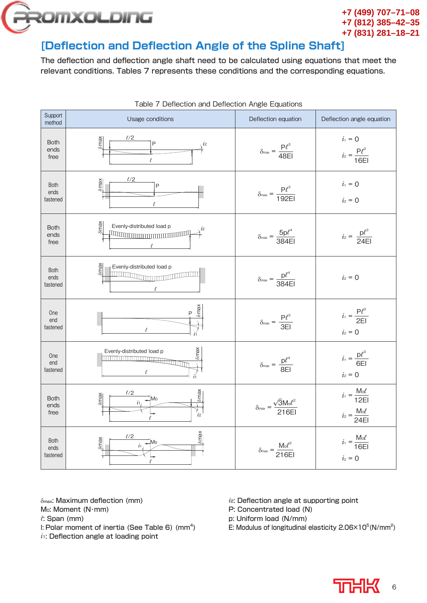

### [Deflection and Deflection Angle of the Spline Shaft]

The deflection and deflection angle shaft need to be calculated using equations that meet the relevant conditions. Tables 7 represents these conditions and the corresponding equations.

|                                 | <b>Table 7</b> Defiection and Defiection Arigie Equations                          |                                                       |                                                             |
|---------------------------------|------------------------------------------------------------------------------------|-------------------------------------------------------|-------------------------------------------------------------|
| Support<br>method               | Usage conditions                                                                   | Deflection equation                                   | Deflection angle equation                                   |
| <b>Both</b><br>ends<br>free     | $\ell/2$<br>δmax<br>P<br>$\iota$ <sub>2</sub><br>$\ell$                            | $\delta_{\text{max}} = \frac{P l^3}{48EI}$            | $i_1 = 0$<br>$i_2 = \frac{P l^2}{16EI}$                     |
| <b>Both</b><br>ends<br>fastened | $\ell/2$<br>Smax<br>P                                                              | $\delta_{\text{max}} = \frac{P l^3}{192EI}$           | $i_1 = 0$<br>$i_2 = 0$                                      |
| <b>Both</b><br>ends<br>free     | Smax<br>Evenly-distributed load p<br><b>TELEVISION IN THE REAL PROPERTY AND IN</b> | $\delta_{\text{max}} = \frac{5p l^4}{384EI}$          | $i_2 = \frac{p l^3}{24EI}$                                  |
| <b>Both</b><br>ends<br>fastened | <b>Smax</b><br>Evenly-distributed load p<br>l                                      | $\delta_{\text{max}} = \frac{p l^4}{384EI}$           | $i_2 = 0$                                                   |
| One<br>end<br>fastened          | $\delta$ max<br>P                                                                  | $\delta_{\text{max}} = \frac{P l^3}{3E1}$             | $i_1 = \frac{P l^2}{2E}$<br>$i_2 = 0$                       |
| One<br>end<br>fastened          | $\delta$ max<br>Evenly-distributed load p                                          | $\delta_{\text{max}} = \frac{p l^4}{8EI}$             | $i_1 = \frac{p l^3}{6EI}$<br>$i_2 = 0$                      |
| <b>Both</b><br>ends<br>free     | lomax<br>$\ell/2$<br>$\delta$ max<br>Mo<br>$\dot{i}$ 1<br>$\int_{i2}$              | $\delta_{\text{max}} = \frac{\sqrt{3}M_0 l^2}{216EI}$ | $i_1 = \frac{M_0 l}{12EI}$<br>$i_2 = \frac{M_0 \ell}{24EI}$ |
| <b>Both</b><br>ends<br>fastened | $\delta$ max<br>$\ell/2$<br>Smax<br>Mo<br>$\dot{i}$                                | $\delta_{\text{max}} = \frac{M_0 l^2}{216EI}$         | $i_1 = \frac{M_0 l}{16EI}$<br>$i_2 = 0$                     |

Table 7 Deflection and Deflection Angle Equations

δ<sub>max</sub>: Maximum deflection (mm)

- Mo: Moment (N·mm)
- *ℓ*: Span (mm)
- I: Polar moment of inertia (See Table 6)  $\rm (mm^4)$
- $i$ <sup>1</sup>: Deflection angle at loading point
- *i*<sub>2</sub>: Deflection angle at supporting point
- P: Concentrated load (N)
- p: Uniform load (N/mm)
- E: Modulus of longitudinal elasticity  $2.06 \times 10^5$  (N/mm<sup>2</sup>)

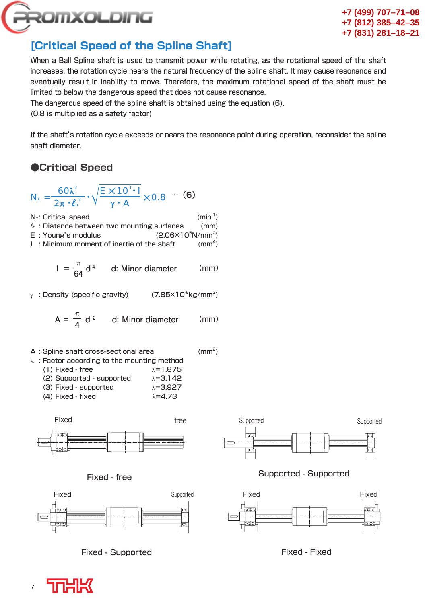

### **[Critical Speed of the Spline Shaft]**

When a Ball Spline shaft is used to transmit power while rotating, as the rotational speed of the shaft increases, the rotation cycle nears the natural frequency of the spline shaft. It may cause resonance and eventually result in inability to move. Therefore, the maximum rotational speed of the shaft must be limited to below the dangerous speed that does not cause resonance.

The dangerous speed of the spline shaft is obtained using the equation (6).

(0.8 is multiplied as a safety factor)

If the shaft's rotation cycle exceeds or nears the resonance point during operation, reconsider the spline shaft diameter.

 $(mm<sup>2</sup>)$ 

### **●Critical Speed**

$$
N_c = \frac{60\lambda^2}{2\pi \cdot l_b^2} \cdot \sqrt{\frac{E \times 10^3 \cdot I}{\gamma \cdot A}} \times 0.8 \cdots (6)
$$

 $N_c$ : Critical speed (min<sup>-1</sup>) *ℓ*b : Distance between two mounting surfaces (mm)  $E$ : Young's modulus  $N/mm<sup>2</sup>$ )

 $I$  : Minimum moment of inertia of the shaft  $\text{m}^4$ 

$$
I = \frac{\pi}{64} d^4
$$
 d: Minor diameter (mm)

 $\gamma$  : Density (specific gravity)  $(7.85\times10^{6} \text{kg/mm}^{3})$ 

$$
A = \frac{\pi}{4} d^2
$$
 d: Minor diameter (mm)

- A : Spline shaft cross-sectional area
- λ : Factor according to the mounting method (1) Fixed - free  $\lambda = 1.875$ (2) Supported - supported  $\lambda = 3.142$ (3) Fixed - supported  $\lambda = 3.927$ 
	- (4) Fixed fixed  $\lambda=4.73$







Fixed - Supported



Supported - Supported





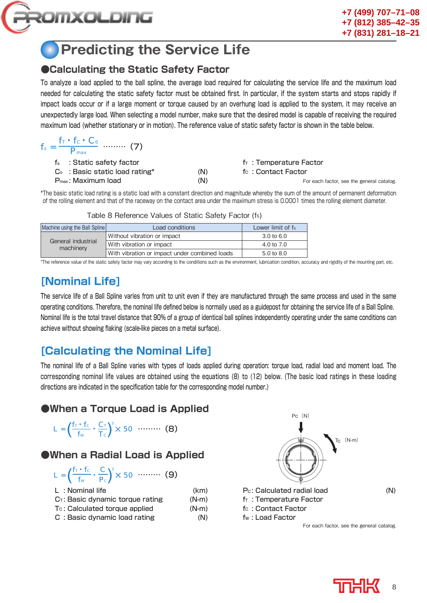

 $f_{-} \cdot f_{-} \cdot C$ 

### **Predicting the Service Life**

### **●Calculating the Static Safety Factor**

To analyze a load applied to the ball spline, the average load required for calculating the service life and the maximum load needed for calculating the static safety factor must be obtained first. In particular, if the system starts and stops rapidly if impact loads occur or if a large moment or torque caused by an overhung load is applied to the system, it may receive an unexpectedly large load. When selecting a model number, make sure that the desired model is capable of receiving the required maximum load (whether stationary or in motion). The reference value of static safety factor is shown in the table below.

| $f_s = \frac{11 \cdot 10 \cdot C_0}{D}$ (7)<br>$\mathbf{v}_{\text{max}}$ |     |                                           |
|--------------------------------------------------------------------------|-----|-------------------------------------------|
| f <sub>s</sub> : Static safety factor                                    |     | $fT$ : Temperature Factor                 |
| $Co$ : Basic static load rating*                                         | (N) | fc: Contact Factor                        |
| $P_{\text{max}}$ : Maximum load                                          | (N) | For each factor, see the general catalog. |

\* The basic static load rating is a static load with a constant direction and magnitude whereby the sum of the amount of permanent deformation of the rolling element and that of the raceway on the contact area under the maximum stress is 0.0001 times the rolling element diameter.

| Machine using the Ball Spline   | Load conditions                               | Lower limit of fs     |
|---------------------------------|-----------------------------------------------|-----------------------|
|                                 | Without vibration or impact                   | $3.0 \text{ to } 6.0$ |
| General industrial<br>machinery | With vibration or impact                      | 4.0 to $7.0$          |
|                                 | With vibration or impact under combined loads | 5.0 to 8.0            |

Table 8 Reference Values of Static Safety Factor (fs)

\*The reference value of the static safety factor may vary according to the conditions such as the environment, lubrication condition, accuracy and rigidity of the mounting part, etc.

### **[Nominal Life]**

The service life of a Ball Spline varies from unit to unit even if they are manufactured through the same process and used in the same operating conditions. Therefore, the nominal life defined below is normally used as a guidepost for obtaining the service life of a Ball Spline. Nominal life is the total travel distance that 90% of a group of identical ball splines independently operating under the same conditions can achieve without showing flaking (scale-like pieces on a metal surface).

### **[Calculating the Nominal Life]**

The nominal life of a Ball Spline varies with types of loads applied during operation: torque load, radial load and moment load. The corresponding nominal life values are obtained using the equations (8) to (12) below. (The basic load ratings in these loading directions are indicated in the specification table for the corresponding model number.)

### **●When a Torque Load is Applied**

$$
L = \left(\frac{f_T \cdot f_C}{f_W} \cdot \frac{C_T}{T_C}\right)^3 \times 50 \quad \cdots \cdots \cdots \quad (8)
$$

### **●When a Radial Load is Applied**

$$
L = \left(\frac{f_T \cdot f_C}{f_W} \cdot \frac{C}{P_C}\right)^3 \times 50 \dots \dots \dots \tag{9}
$$

| L: Nominal life                              | (km)    |
|----------------------------------------------|---------|
| $C_{\text{T}}$ : Basic dynamic torque rating | $(N-m)$ |
| T <sub>c</sub> : Calculated torque applied   | $(N-m)$ |
| C: Basic dynamic load rating                 | (N)     |



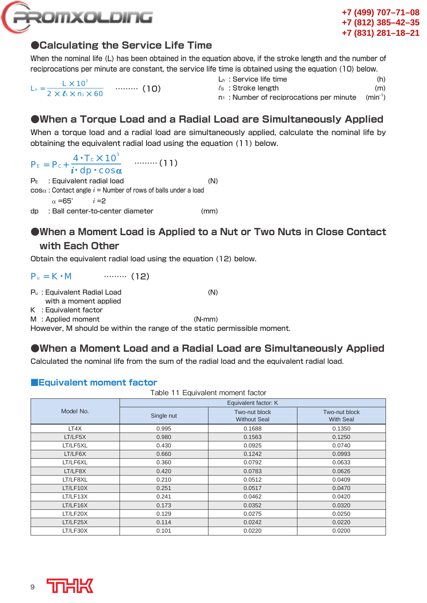

### **●Calculating the Service Life Time**

When the nominal life (L) has been obtained in the equation above, if the stroke length and the number of reciprocations per minute are constant, the service life time is obtained using the equation (10) below.

 $L_h = \frac{L \times 10^3}{4}$ 2 × *l*<sub>s</sub> × n<sub>1</sub> × 60 ……… (10)

- Lh : Service life time (h)
- *l*s: Stroke length (m)
- $n_1$ : Number of reciprocations per minute (min<sup>-1</sup>)

### **●When a Torque Load and a Radial Load are Simultaneously Applied**

When a torque load and a radial load are simultaneously applied, calculate the nominal life by obtaining the equivalent radial load using the equation (11) below.

 $P_{E} = P_{c} + \frac{4 \cdot T_{c} \times 10^{3}}{4 \cdot T_{c} \times 10^{3}}$  .......... (11) *i*•dp•cosα P<sub>E</sub> : Equivalent radial load (N)  $cos \alpha$ : Contact angle  $i =$  Number of rows of balls under a load  $\alpha = 65^{\circ}$  *i* = 2 dp : Ball center-to-center diameter (mm)

### ● When a Moment Load is Applied to a Nut or Two Nuts in Close Contact

### **with Each Other**

Obtain the equivalent radial load using the equation (12) below.

 $P_u = K \cdot M$  ……… (12)

Pu : Equivalent Radial Load (N)

with a moment applied

K : Equivalent factor

M : Applied moment (N-mm)

However, M should be within the range of the static permissible moment.

### **●When a Moment Load and a Radial Load are Simultaneously Applied**

Calculated the nominal life from the sum of the radial load and the equivalent radial load.

#### **■Equivalent moment factor**  $T$  . The  $11$  Equivalent moment factor  $\frac{1}{2}$

| rable TT Equivalent moment factor |                      |                                      |                                   |  |  |  |  |  |  |  |
|-----------------------------------|----------------------|--------------------------------------|-----------------------------------|--|--|--|--|--|--|--|
|                                   | Equivalent factor: K |                                      |                                   |  |  |  |  |  |  |  |
| Model No.                         | Single nut           | Two-nut block<br><b>Without Seal</b> | Two-nut block<br><b>With Seal</b> |  |  |  |  |  |  |  |
| LT4X                              | 0.995                | 0.1688                               | 0.1350                            |  |  |  |  |  |  |  |
| LT/LF5X                           | 0.980                | 0.1563                               | 0.1250                            |  |  |  |  |  |  |  |
| LT/LF5XL                          | 0.430                | 0.0925                               | 0.0740                            |  |  |  |  |  |  |  |
| LT/LF6X                           | 0.660                | 0.1242                               | 0.0993                            |  |  |  |  |  |  |  |
| LT/LF6XL                          | 0.360                | 0.0792                               | 0.0633                            |  |  |  |  |  |  |  |
| LT/LF8X                           | 0.420                | 0.0783                               | 0.0626                            |  |  |  |  |  |  |  |
| LT/LF8XL                          | 0.210                | 0.0512                               | 0.0409                            |  |  |  |  |  |  |  |
| LT/LF10X                          | 0.251                | 0.0517                               | 0.0470                            |  |  |  |  |  |  |  |
| LT/LF13X                          | 0.241                | 0.0462                               | 0.0420                            |  |  |  |  |  |  |  |
| LT/LF16X                          | 0.173                | 0.0352                               | 0.0320                            |  |  |  |  |  |  |  |
| LT/LF20X                          | 0.129                | 0.0275                               | 0.0250                            |  |  |  |  |  |  |  |
| LT/LF25X                          | 0.114                | 0.0242                               | 0.0220                            |  |  |  |  |  |  |  |
| LT/LF30X                          | 0.101                | 0.0220                               | 0.0200                            |  |  |  |  |  |  |  |

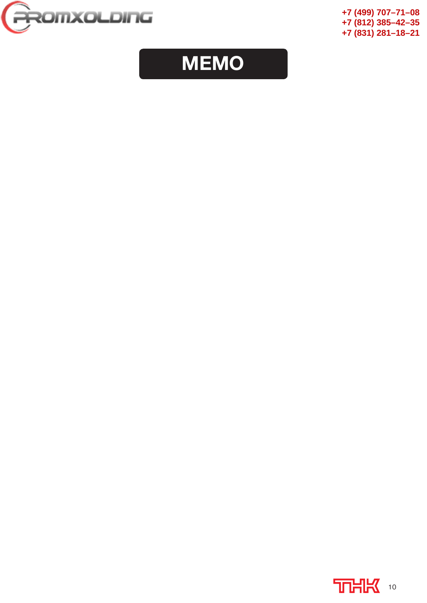

## **MEMO**

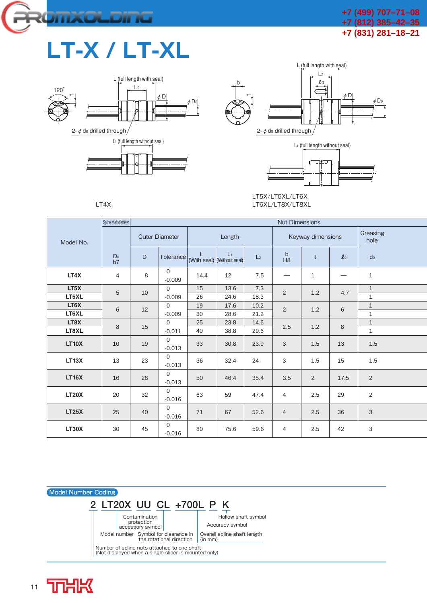

## **LT-X / LT-XL**







LT5X/LT5XL/LT6X LT6XL/LT8X/LT8XL

|              | Spline shaft diameter |    |                          |      |                                     |                |                               |                   |                     |                           |  |
|--------------|-----------------------|----|--------------------------|------|-------------------------------------|----------------|-------------------------------|-------------------|---------------------|---------------------------|--|
| Model No.    |                       |    | <b>Outer Diameter</b>    |      | Length                              |                |                               | Keyway dimensions | Greasing<br>hole    |                           |  |
|              | D <sub>0</sub><br>h7  | D  | Tolerance                |      | $L_1$<br>(With seal) (Without seal) | L <sub>2</sub> | $\mathsf b$<br>H <sub>8</sub> | $t$               | $\boldsymbol{\ell}$ | d <sub>0</sub>            |  |
| LT4X         | 4                     | 8  | $\Omega$<br>$-0.009$     | 14.4 | 12                                  | 7.5            |                               | 1                 |                     | $\mathbf{1}$              |  |
| LT5X         | 5                     | 10 | $\Omega$                 | 15   | 13.6                                | 7.3            | 2                             | 1.2               | 4.7                 | $\mathbf{1}$              |  |
| LT5XL        |                       |    | $-0.009$                 | 26   | 24.6                                | 18.3           |                               |                   |                     | $\mathbf{1}$              |  |
| LT6X         |                       |    | $\mathbf{0}$             | 19   | 17.6                                | 10.2           |                               |                   |                     | $\mathbf{1}$              |  |
| LT6XL        | 6                     | 12 | $-0.009$                 | 30   | 28.6                                | 21.2           | $\sqrt{2}$                    | 1.2               | $6\,$               | $\mathbf{1}$              |  |
| LT8X         |                       |    | $\mathbf{0}$             | 25   | 23.8                                | 14.6           |                               | 1.2               |                     | $\mathbf{1}$              |  |
| LT8XL        | 8                     | 15 | $-0.011$                 | 40   | 38.8                                | 29.6           | 2.5                           |                   | $\,8\,$             | $\mathbf{1}$              |  |
| <b>LT10X</b> | 10                    | 19 | $\mathbf{0}$<br>$-0.013$ | 33   | 30.8                                | 23.9           | 3                             | 1.5               | 13                  | 1.5                       |  |
| LT13X        | 13                    | 23 | $\Omega$<br>$-0.013$     | 36   | 32.4                                | 24             | 3                             | 1.5               | 15                  | 1.5                       |  |
| <b>LT16X</b> | 16                    | 28 | $\Omega$<br>$-0.013$     | 50   | 46.4                                | 35.4           | 3.5                           | 2                 | 17.5                | 2                         |  |
| <b>LT20X</b> | 20                    | 32 | $\Omega$<br>$-0.016$     | 63   | 59                                  | 47.4           | $\overline{4}$                | 2.5               | 29                  | 2                         |  |
| <b>LT25X</b> | 25                    | 40 | $\Omega$<br>$-0.016$     | 71   | 67                                  | 52.6           | $\overline{4}$                | 2.5               | 36                  | $\mathbf{3}$              |  |
| LT30X        | 30                    | 45 | $\Omega$<br>$-0.016$     | 80   | 75.6                                | 59.6           | $\overline{4}$                | 2.5               | 42                  | $\ensuremath{\mathsf{3}}$ |  |



LT4X

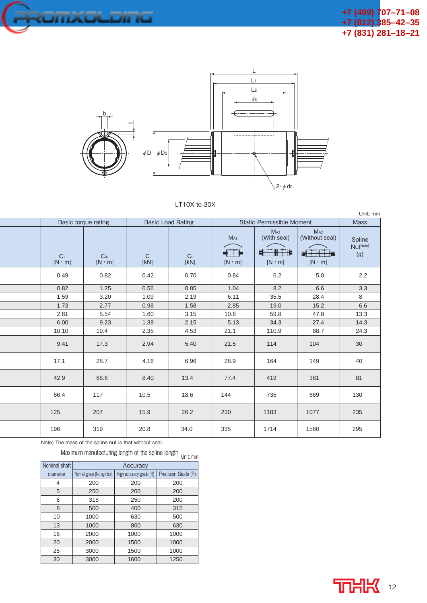



### LT10X to 30X

|                        | Basic torque rating              |                      | <b>Basic Load Rating</b> |                                  | <b>Static Permissible Moment</b>                                       |                                                              | <b>Mass</b>                           |  |  |  |
|------------------------|----------------------------------|----------------------|--------------------------|----------------------------------|------------------------------------------------------------------------|--------------------------------------------------------------|---------------------------------------|--|--|--|
| $C_T$<br>$[N \cdot m]$ | C <sub>OT</sub><br>$[N \cdot m]$ | $\mathsf{C}$<br>[KN] | Co<br>[KN]               | $M_{A1}$<br>引干掉<br>$[N \cdot m]$ | M <sub>A2</sub><br>(With seal)<br>و بھی ہوں<br>ا<br>計<br>$[N \cdot m]$ | M <sub>A2</sub><br>(Without seal)<br>恒<br>라<br>$[N \cdot m]$ | Spline<br>Nut <sup>Note)</sup><br>(g) |  |  |  |
| 0.49                   | 0.82                             | 0.42                 | 0.70                     | 0.84                             | 6.2                                                                    | 5.0                                                          | 2.2                                   |  |  |  |
| 0.82                   | 1.25                             | 0.56                 | 0.85                     | 1.04                             | 8.2                                                                    | 6.6                                                          | 3.3                                   |  |  |  |
| 1.59                   | 3.20                             | 1.09                 | 2.19                     | 6.11                             | 35.5                                                                   | 28.4                                                         | 8                                     |  |  |  |
| 1.73                   | 2.77                             | 0.98                 | 1.58                     | 2.85                             | 19.0                                                                   | 15.2                                                         | 6.6                                   |  |  |  |
| 2.81                   | 5.54                             | 1.60                 | 3.15                     | 10.6                             | 59.8                                                                   | 47.8                                                         | 13.3                                  |  |  |  |
| 6.00                   | 9.23                             | 1.39                 | 2.15                     | 5.13                             | 34.3                                                                   | 27.4                                                         | 14.3                                  |  |  |  |
| 10.10                  | 19.4                             | 2.35                 | 4.53                     | 21.1                             | 110.9                                                                  | 88.7                                                         | 24.3                                  |  |  |  |
| 9.41                   | 17.3                             | 2.94                 | 5.40                     | 21.5                             | 114                                                                    | 104                                                          | 30                                    |  |  |  |
| 17.1                   | 28.7                             | 4.16                 | 6.96                     | 28.9                             | 164                                                                    | 149                                                          | 40                                    |  |  |  |
| 42.9                   | 68.6                             | 8.40                 | 13.4                     | 77.4                             | 419                                                                    | 381                                                          | 81                                    |  |  |  |
| 66.4                   | 117                              | 10.5                 | 18.6                     | 144                              | 735                                                                    | 669                                                          | 130                                   |  |  |  |
| 125                    | 207                              | 15.9                 | 26.2                     | 230                              | 1183                                                                   | 1077                                                         | 235                                   |  |  |  |
| 196                    | 319                              | 20.8                 | 34.0                     | 335                              | 1714                                                                   | 1560                                                         | 295                                   |  |  |  |

Note) The mass of the spline nut is that without seal.

Maximum manufacturing length of the spline length  $_{Unit\ nm}$ 

| Nominal shaft | Accuracy                 |                         |      |  |  |  |  |  |  |  |  |
|---------------|--------------------------|-------------------------|------|--|--|--|--|--|--|--|--|
| diameter      | Normal grade (No symbol) | High accuracy grade (H) |      |  |  |  |  |  |  |  |  |
| 4             | 200                      | 200                     | 200  |  |  |  |  |  |  |  |  |
| 5             | 250                      | 200                     | 200  |  |  |  |  |  |  |  |  |
| 6             | 315                      | 250                     | 200  |  |  |  |  |  |  |  |  |
| 8             | 500                      | 400                     | 315  |  |  |  |  |  |  |  |  |
| 10            | 1000                     | 630                     | 500  |  |  |  |  |  |  |  |  |
| 13            | 1000                     | 800                     | 630  |  |  |  |  |  |  |  |  |
| 16            | 2000                     | 1000                    | 1000 |  |  |  |  |  |  |  |  |
| 20            | 2000                     | 1500                    | 1000 |  |  |  |  |  |  |  |  |
| 25            | 3000                     | 1500                    | 1000 |  |  |  |  |  |  |  |  |
| 30            | 3000                     | 1600                    | 1250 |  |  |  |  |  |  |  |  |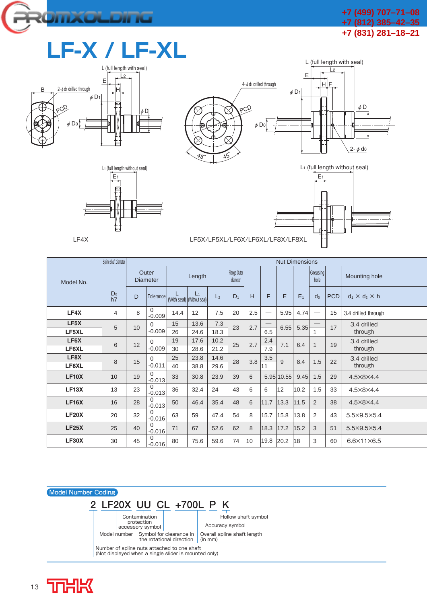

## **LF-X / LF-XL**









L (full length with seal)

|              | Soline shaft diameter |                          |                      |        |                                     |                          |       |     |          | <b>Nut Dimensions</b> |                  |                               |               |                            |     |    |     |     |          |             |      |      |      |     |     |     |     |              |    |             |         |
|--------------|-----------------------|--------------------------|----------------------|--------|-------------------------------------|--------------------------|-------|-----|----------|-----------------------|------------------|-------------------------------|---------------|----------------------------|-----|----|-----|-----|----------|-------------|------|------|------|-----|-----|-----|-----|--------------|----|-------------|---------|
| Model No.    |                       | Outer<br><b>Diameter</b> |                      | Length |                                     | Flange Outer<br>diameter |       |     |          |                       | Greasing<br>hole |                               | Mounting hole |                            |     |    |     |     |          |             |      |      |      |     |     |     |     |              |    |             |         |
|              | D <sub>0</sub><br>h7  | D                        | Tolerance            |        | $L_1$<br>(With seal) (Without seal) | L <sub>2</sub>           | $D_1$ | H   | F        | E                     | E <sub>1</sub>   | do                            | <b>PCD</b>    | $d_1 \times d_2 \times h$  |     |    |     |     |          |             |      |      |      |     |     |     |     |              |    |             |         |
| LF4X         | 4                     | 8                        | $\Omega$<br>$-0.009$ | 14.4   | 12                                  | 7.5                      | 20    | 2.5 |          | 5.95                  | 4.74             | $\overbrace{\phantom{aaaaa}}$ | 15            | 3.4 drilled through        |     |    |     |     |          |             |      |      |      |     |     |     |     |              |    |             |         |
| LF5X         | 5                     | 10                       | $\Omega$             | 15     | 13.6                                | 7.3                      | 23    | 2.7 |          |                       | 5.35             |                               | 17            | 3.4 drilled                |     |    |     |     |          |             |      |      |      |     |     |     |     |              |    |             |         |
| LF5XL        |                       |                          | $-0.009$             | 26     | 24.6                                | 18.3                     |       |     | 6.5      | 6.55                  |                  | 1                             |               | through                    |     |    |     |     |          |             |      |      |      |     |     |     |     |              |    |             |         |
| LF6X         | 6                     |                          |                      |        |                                     |                          |       |     |          |                       |                  |                               |               |                            |     | 12 |     |     | $\Omega$ | 19          | 17.6 | 10.2 | 25   | 2.7 | 2.4 | 7.1 | 6.4 | $\mathbf{1}$ | 19 | 3.4 drilled |         |
| LF6XL        |                       |                          | $-0.009$             | 30     | 28.6                                | 21.2                     |       |     | 7.9      |                       |                  |                               |               | through                    |     |    |     |     |          |             |      |      |      |     |     |     |     |              |    |             |         |
| LF8X         | 8                     | 15                       |                      |        |                                     |                          |       |     | $\Omega$ | 25                    | 23.8             | 14.6                          | 28            | 3.8                        | 3.5 | 9  | 8.4 | 1.5 | 22       | 3.4 drilled |      |      |      |     |     |     |     |              |    |             |         |
| LF8XL        |                       |                          |                      |        |                                     |                          |       |     |          |                       |                  |                               |               |                            |     |    |     |     |          | $-0.011$    | 40   | 38.8 | 29.6 |     |     | 11  |     |              |    |             | through |
| <b>LF10X</b> | 10                    | 19                       | $\Omega$<br>$-0.013$ | 33     | 30.8                                | 23.9                     | 39    | 6   |          | 5.95 10.55            | 9.45             | 1.5                           | 29            | 4.5×8×4.4                  |     |    |     |     |          |             |      |      |      |     |     |     |     |              |    |             |         |
| LF13X        | 13                    | 23                       | $-0.013$             | 36     | 32.4                                | 24                       | 43    | 6   | 6        | 12                    | 10.2             | 1.5                           | 33            | 4.5×8×4.4                  |     |    |     |     |          |             |      |      |      |     |     |     |     |              |    |             |         |
| <b>LF16X</b> | 16                    | 28                       | $\Omega$<br>$-0.013$ | 50     | 46.4                                | 35.4                     | 48    | 6   | 11.7     | 13.3                  | 11.5             | 2                             | 38            | 4.5×8×4.4                  |     |    |     |     |          |             |      |      |      |     |     |     |     |              |    |             |         |
| <b>LF20X</b> | 20                    | 32                       | $\Omega$<br>$-0.016$ | 63     | 59                                  | 47.4                     | 54    | 8   | 15.7     | 15.8                  | 13.8             | 2                             | 43            | 5.5×9.5×5.4                |     |    |     |     |          |             |      |      |      |     |     |     |     |              |    |             |         |
| LF25X        | 25                    | 40                       | $\Omega$<br>$-0.016$ | 71     | 67                                  | 52.6                     | 62    | 8   | 18.3     | 17.2                  | 15.2             | 3                             | 51            | 5.5×9.5×5.4                |     |    |     |     |          |             |      |      |      |     |     |     |     |              |    |             |         |
| <b>LF30X</b> | 30                    | 45                       | $-0.016$             | 80     | 75.6                                | 59.6                     | 74    | 10  | 19.8     | 20.2                  | 18               | 3                             | 60            | $6.6 \times 11 \times 6.5$ |     |    |     |     |          |             |      |      |      |     |     |     |     |              |    |             |         |



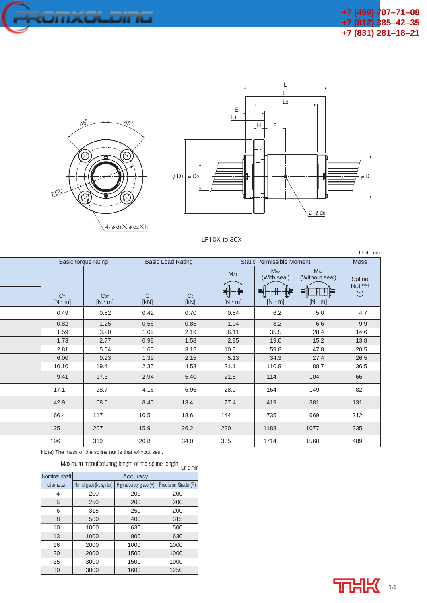





LF10X to 30X

|                                 |                                  |                          |                        |                           |                                                      |                                                         | Unit: mm                              |  |  |
|---------------------------------|----------------------------------|--------------------------|------------------------|---------------------------|------------------------------------------------------|---------------------------------------------------------|---------------------------------------|--|--|
|                                 | Basic torque rating              | <b>Basic Load Rating</b> |                        |                           | <b>Static Permissible Moment</b>                     |                                                         |                                       |  |  |
| C <sub>T</sub><br>$[N \cdot m]$ | C <sub>OT</sub><br>$[N \cdot m]$ | $\mathsf{C}$<br>[KN]     | C <sub>0</sub><br>[KN] | $M_{A1}$<br>$[N \cdot m]$ | M <sub>A2</sub><br>(With seal)<br>뢐<br>$[N \cdot m]$ | M <sub>A2</sub><br>(Without seal)<br>뤡<br>$[N \cdot m]$ | Spline<br>Nut <sup>Note)</sup><br>(g) |  |  |
| 0.49                            | 0.82                             | 0.42                     | 0.70                   | 0.84                      | 6.2                                                  | 5.0                                                     | 4.7                                   |  |  |
| 0.82                            | 1.25                             | 0.56                     | 0.85                   | 1.04                      | 8.2                                                  | 6.6                                                     | 9.9                                   |  |  |
| 1.59                            | 3.20                             | 1.09                     | 2.19                   | 6.11                      | 35.5                                                 | 28.4                                                    | 14.6                                  |  |  |
| 1.73                            | 2.77                             | 0.98                     | 1.58                   | 2.85                      | 19.0                                                 | 15.2                                                    | 13.8                                  |  |  |
| 2.81                            | 5.54                             | 1.60                     | 3.15                   | 10.6                      | 59.8                                                 | 47.8                                                    | 20.5                                  |  |  |
| 6.00                            | 9.23                             | 1.39                     | 2.15                   | 5.13                      | 34.3                                                 | 27.4                                                    | 26.5                                  |  |  |
| 10.10                           | 19.4                             | 2.35                     | 4.53                   | 21.1                      | 110.9                                                | 88.7                                                    | 36.5                                  |  |  |
| 9.41                            | 17.3                             | 2.94                     | 5.40                   | 21.5                      | 114                                                  | 104                                                     | 66                                    |  |  |
| 17.1                            | 28.7                             | 4.16                     | 6.96                   | 28.9                      | 164                                                  | 149                                                     | 82                                    |  |  |
| 42.9                            | 68.6                             | 8.40                     | 13.4                   | 77.4                      | 419                                                  | 381                                                     | 131                                   |  |  |
| 66.4                            | 117                              | 10.5                     | 18.6                   | 144                       | 735                                                  | 669                                                     | 212                                   |  |  |
| 125                             | 207                              | 15.9                     | 26.2                   | 230                       | 1183                                                 | 1077                                                    | 335                                   |  |  |
| 196                             | 319                              | 20.8                     | 34.0                   | 335                       | 1714                                                 | 1560                                                    | 489                                   |  |  |

Note) The mass of the spline nut is that without seal.

Maximum manufacturing length of the spline length  $_{\text{Unit: mm}}$ 

| Nominal shaft | Accuracy                 |                         |                     |
|---------------|--------------------------|-------------------------|---------------------|
| diameter      | Normal grade (No symbol) | High accuracy grade (H) | Precision Grade (P) |
| 4             | 200                      | 200                     | 200                 |
| 5             | 250                      | 200                     | 200                 |
| 6             | 315                      | 250                     | 200                 |
| 8             | 500                      | 400                     | 315                 |
| 10            | 1000                     | 630                     | 500                 |
| 13            | 1000                     | 800                     | 630                 |
| 16            | 2000                     | 1000                    | 1000                |
| 20            | 2000                     | 1500                    | 1000                |
| 25            | 3000                     | 1500                    | 1000                |
| 30            | 3000                     | 1600                    | 1250                |

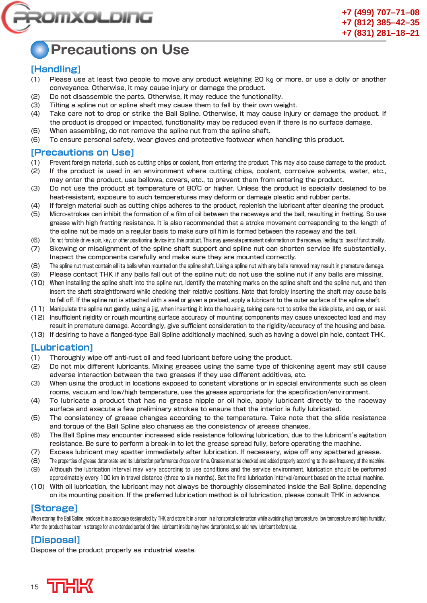

### **Precautions on Use**

### **[Handling]**

- (1) Please use at least two people to move any product weighing 20 k**g** or more, or use a dolly or another conveyance. Otherwise, it may cause injury or damage the product.
- (2) Do not disassemble the parts. Otherwise, it may reduce the functionality.
- (3) Tilting a spline nut or spline shaft may cause them to fall by their own weight.
- (4) Take care not to drop or strike the Ball Spline. Otherwise, it may cause injury or damage the product. If the product is dropped or impacted, functionality may be reduced even if there is no surface damage.
- (5) When assembling, do not remove the spline nut from the spline shaft.
- (6) To ensure personal safety, wear gloves and protective footwear when handling this product.

### **[Precautions on Use]**

- (1) Prevent foreign material, such as cutting chips or coolant, from entering the product. This may also cause damage to the product.
- (2) If the product is used in an environment where cutting chips, coolant, corrosive solvents, water, etc., may enter the product, use bellows, covers, etc., to prevent them from entering the product.
- (3) Do not use the product at temperature of 80℃ or higher. Unless the product is specially designed to be heat-resistant, exposure to such temperatures may deform or damage plastic and rubber parts.
- (4) If foreign material such as cutting chips adheres to the product, replenish the lubricant after cleaning the product.
- (5) Micro-strokes can inhibit the formation of a film of oil between the raceways and the ball, resulting in fretting. So use grease with high fretting resistance. It is also recommended that a stroke movement corresponding to the length of the spline nut be made on a regular basis to make sure oil film is formed between the raceway and the ball.
- (6) Do not forcibly drive a pin, key, or other positioning device into this product. This may generate permanent deformation on the raceway, leading to loss of functionality.
- (7) Skewing or misalignment of the spline shaft support and spline nut can shorten service life substantially. Inspect the components carefully and make sure they are mounted correctly.
- (8) The spline nut must contain all its balls when mounted on the spline shaft. Using a spline nut with any balls removed may result in premature damage.
- (9) Please contact THK if any balls fall out of the spline nut; do not use the spline nut if any balls are missing.
- (10) When installing the spline shaft into the spline nut, identify the matching marks on the spline shaft and the spline nut, and then insert the shaft straightforward while checking their relative positions. Note that forcibly inserting the shaft may cause balls to fall off. If the spline nut is attached with a seal or given a preload, apply a lubricant to the outer surface of the spline shaft.
- (11) Manipulate the spline nut gently, using a jig, when inserting it into the housing, taking care not to strike the side plate, end cap, or seal. (12) Insufficient rigidity or rough mounting surface accuracy of mounting components may cause unexpected load and may
- result in premature damage. Accordingly, give sufficient consideration to the rigidity/accuracy of the housing and base.
- (13) If desiring to have a flanged-type Ball Spline additionally machined, such as having a dowel pin hole, contact THK.

### **[Lubrication]**

- (1) Thoroughly wipe off anti-rust oil and feed lubricant before using the product.
- (2) Do not mix different lubricants. Mixing greases using the same type of thickening agent may still cause adverse interaction between the two greases if they use different additives, etc.
- (3) When using the product in locations exposed to constant vibrations or in special environments such as clean rooms, vacuum and low/high temperature, use the grease appropriate for the specification/environment.
- (4) To lubricate a product that has no grease nipple or oil hole, apply lubricant directly to the raceway surface and execute a few preliminary strokes to ensure that the interior is fully lubricated.
- (5) The consistency of grease changes according to the temperature. Take note that the slide resistance and torque of the Ball Spline also changes as the consistency of grease changes.
- (6) The Ball Spline may encounter increased slide resistance following lubrication, due to the lubricant's agitation resistance. Be sure to perform a break-in to let the grease spread fully, before operating the machine.
- (7) Excess lubricant may spatter immediately after lubrication. If necessary, wipe off any spattered grease.
- (8) The properties of grease deteriorate and its lubrication performance drops over time. Grease must be checked and added properly according to the use frequency of the machine.
- (9) Although the lubrication interval may vary according to use conditions and the service environment, lubrication should be performed approximately every 100 km in travel distance (three to six months). Set the final lubrication interval/amount based on the actual machine.
- (10) With oil lubrication, the lubricant may not always be thoroughly disseminated inside the Ball Spline, depending on its mounting position. If the preferred lubrication method is oil lubrication, please consult THK in advance.

### **[Storage]**

When storing the Ball Spline, enclose it in a package designated by THK and store it in a room in a horizontal orientation while avoiding high temperature, low temperature and high humidity. After the product has been in storage for an extended period of time, lubricant inside may have deteriorated, so add new lubricant before use.

### **[Disposal]**

Dispose of the product properly as industrial waste.

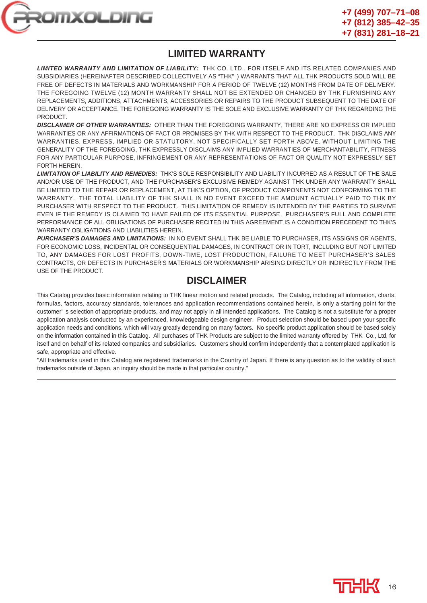

### **LIMITED WARRANTY**

*LIMITED WARRANTY AND LIMITATION OF LIABILITY:* THK CO. LTD., FOR ITSELF AND ITS RELATED COMPANIES AND SUBSIDIARIES (HEREINAFTER DESCRIBED COLLECTIVELY AS "THK" ) WARRANTS THAT ALL THK PRODUCTS SOLD WILL BE FREE OF DEFECTS IN MATERIALS AND WORKMANSHIP FOR A PERIOD OF TWELVE (12) MONTHS FROM DATE OF DELIVERY. THE FOREGOING TWELVE (12) MONTH WARRANTY SHALL NOT BE EXTENDED OR CHANGED BY THK FURNISHING ANY REPLACEMENTS, ADDITIONS, ATTACHMENTS, ACCESSORIES OR REPAIRS TO THE PRODUCT SUBSEQUENT TO THE DATE OF DELIVERY OR ACCEPTANCE. THE FOREGOING WARRANTY IS THE SOLE AND EXCLUSIVE WARRANTY OF THK REGARDING THE PRODUCT.

*DISCLAIMER OF OTHER WARRANTIES:* OTHER THAN THE FOREGOING WARRANTY, THERE ARE NO EXPRESS OR IMPLIED WARRANTIES OR ANY AFFIRMATIONS OF FACT OR PROMISES BY THK WITH RESPECT TO THE PRODUCT. THK DISCLAIMS ANY WARRANTIES, EXPRESS, IMPLIED OR STATUTORY, NOT SPECIFICALLY SET FORTH ABOVE. WITHOUT LIMITING THE GENERALITY OF THE FOREGOING, THK EXPRESSLY DISCLAIMS ANY IMPLIED WARRANTIES OF MERCHANTABILITY, FITNESS FOR ANY PARTICULAR PURPOSE, INFRINGEMENT OR ANY REPRESENTATIONS OF FACT OR QUALITY NOT EXPRESSLY SET FORTH HEREIN.

*LIMITATION OF LIABILITY AND REMEDIES:* THK'S SOLE RESPONSIBILITY AND LIABILITY INCURRED AS A RESULT OF THE SALE AND/OR USE OF THE PRODUCT, AND THE PURCHASER'S EXCLUSIVE REMEDY AGAINST THK UNDER ANY WARRANTY SHALL BE LIMITED TO THE REPAIR OR REPLACEMENT, AT THK'S OPTION, OF PRODUCT COMPONENTS NOT CONFORMING TO THE WARRANTY. THE TOTAL LIABILITY OF THK SHALL IN NO EVENT EXCEED THE AMOUNT ACTUALLY PAID TO THK BY PURCHASER WITH RESPECT TO THE PRODUCT. THIS LIMITATION OF REMEDY IS INTENDED BY THE PARTIES TO SURVIVE EVEN IF THE REMEDY IS CLAIMED TO HAVE FAILED OF ITS ESSENTIAL PURPOSE. PURCHASER'S FULL AND COMPLETE PERFORMANCE OF ALL OBLIGATIONS OF PURCHASER RECITED IN THIS AGREEMENT IS A CONDITION PRECEDENT TO THK'S WARRANTY OBLIGATIONS AND LIABILITIES HEREIN.

*PURCHASER'S DAMAGES AND LIMITATIONS:* IN NO EVENT SHALL THK BE LIABLE TO PURCHASER, ITS ASSIGNS OR AGENTS, FOR ECONOMIC LOSS, INCIDENTAL OR CONSEQUENTIAL DAMAGES, IN CONTRACT OR IN TORT, INCLUDING BUT NOT LIMITED TO, ANY DAMAGES FOR LOST PROFITS, DOWN-TIME, LOST PRODUCTION, FAILURE TO MEET PURCHASER'S SALES CONTRACTS, OR DEFECTS IN PURCHASER'S MATERIALS OR WORKMANSHIP ARISING DIRECTLY OR INDIRECTLY FROM THE USE OF THE PRODUCT.

### **DISCLAIMER**

This Catalog provides basic information relating to THK linear motion and related products. The Catalog, including all information, charts, formulas, factors, accuracy standards, tolerances and application recommendations contained herein, is only a starting point for the customer' s selection of appropriate products, and may not apply in all intended applications. The Catalog is not a substitute for a proper application analysis conducted by an experienced, knowledgeable design engineer. Product selection should be based upon your specific application needs and conditions, which will vary greatly depending on many factors. No specific product application should be based solely on the information contained in this Catalog. All purchases of THK Products are subject to the limited warranty offered by THK Co., Ltd, for itself and on behalf of its related companies and subsidiaries. Customers should confirm independently that a contemplated application is safe, appropriate and effective.

"All trademarks used in this Catalog are registered trademarks in the Country of Japan. If there is any question as to the validity of such trademarks outside of Japan, an inquiry should be made in that particular country."

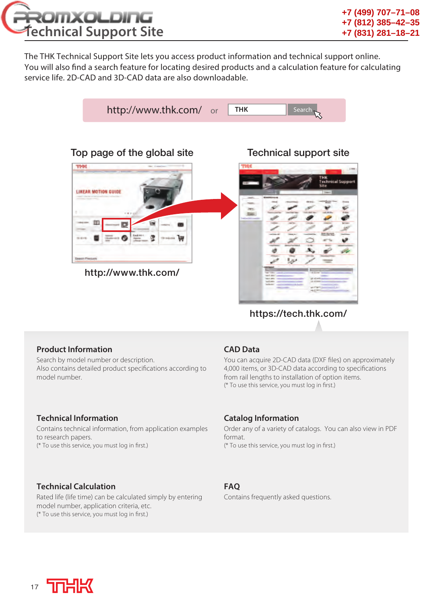

The THK Technical Support Site lets you access product information and technical support online. You will also find a search feature for locating desired products and a calculation feature for calculating service life. 2D-CAD and 3D-CAD data are also downloadable.



### **https://tech.thk.com/**

### **Product Information**

Search by model number or description. Also contains detailed product specifications according to model number.

### **Technical Information**

Contains technical information, from application examples to research papers. (\* To use this service, you must log in first.)

### **Technical Calculation**

Rated life (life time) can be calculated simply by entering model number, application criteria, etc. (\* To use this service, you must log in first.)

### **CAD Data**

You can acquire 2D-CAD data (DXF files) on approximately 4,000 items, or 3D-CAD data according to specifications from rail lengths to installation of option items. (\* To use this service, you must log in first.)

### **Catalog Information**

Order any of a variety of catalogs. You can also view in PDF format. (\* To use this service, you must log in first.)

### **FAQ**

Contains frequently asked questions.

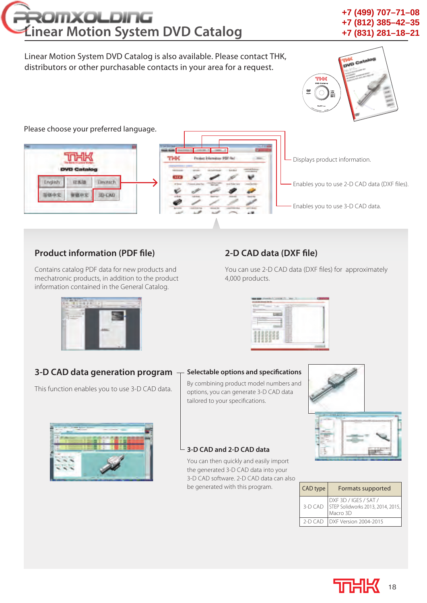## ROMXOLDING **Linear Motion System DVD Catalog**

### **+7 (499) 707–71–08 +7 (812) 385–42–35 +7 (831) 281–18–21**

### Linear Motion System DVD Catalog is also available. Please contact THK, distributors or other purchasable contacts in your area for a request.



Please choose your preferred language.



### **Product information (PDF file)**

Contains catalog PDF data for new products and mechatronic products, in addition to the product information contained in the General Catalog.

### **2-D CAD data (DXF file)**

You can use 2-D CAD data (DXF files) for approximately 4,000 products.



#### **3-D CAD data generation program Selectable options and specifications**

By combining product model numbers and options, you can generate 3-D CAD data tailored to your specifications.





| CAD type  | Formats supported                                                      |
|-----------|------------------------------------------------------------------------|
| $3-D$ CAD | DXF 3D / IGES / SAT /<br>STEP Solidworks 2013, 2014, 2015,<br>Macro 3D |
| $2-D CAD$ | <b>IDXF Version 2004-2015</b>                                          |

### **3-D CAD and 2-D CAD data**

You can then quickly and easily import the generated 3-D CAD data into your 3-D CAD software. 2-D CAD data can also be generated with this program.





This function enables you to use 3-D CAD data.